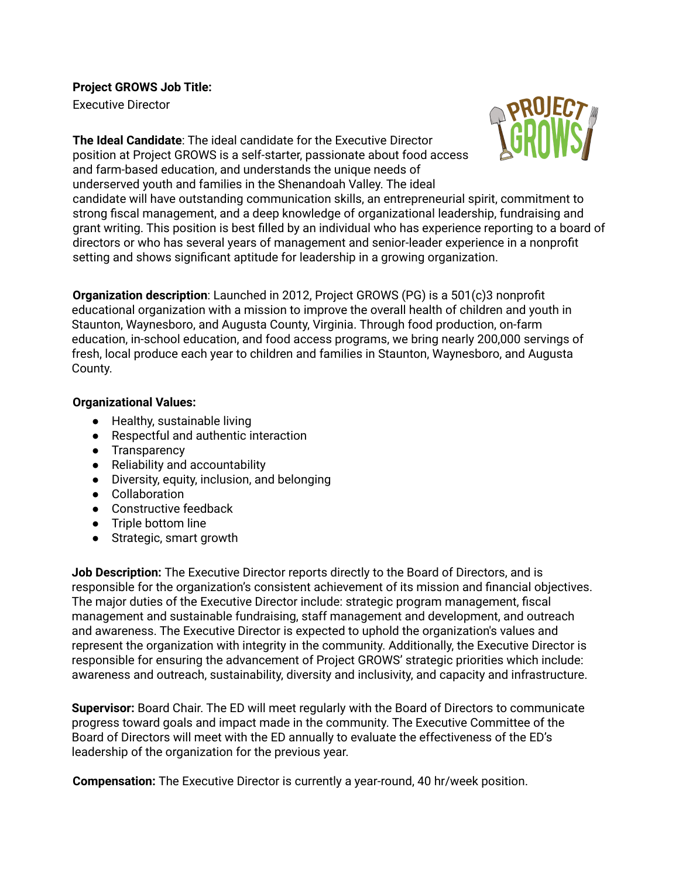**Project GROWS Job Title:**

Executive Director



**The Ideal Candidate**: The ideal candidate for the Executive Director position at Project GROWS is a self-starter, passionate about food access and farm-based education, and understands the unique needs of underserved youth and families in the Shenandoah Valley. The ideal

candidate will have outstanding communication skills, an entrepreneurial spirit, commitment to strong fiscal management, and a deep knowledge of organizational leadership, fundraising and grant writing. This position is best filled by an individual who has experience reporting to a board of directors or who has several years of management and senior-leader experience in a nonprofit setting and shows significant aptitude for leadership in a growing organization.

**Organization description**: Launched in 2012, Project GROWS (PG) is a 501(c)3 nonprofit educational organization with a mission to improve the overall health of children and youth in Staunton, Waynesboro, and Augusta County, Virginia. Through food production, on-farm education, in-school education, and food access programs, we bring nearly 200,000 servings of fresh, local produce each year to children and families in Staunton, Waynesboro, and Augusta County.

#### **Organizational Values:**

- Healthy, sustainable living
- Respectful and authentic interaction
- Transparency
- Reliability and accountability
- Diversity, equity, inclusion, and belonging
- Collaboration
- Constructive feedback
- Triple bottom line
- Strategic, smart growth

**Job Description:** The Executive Director reports directly to the Board of Directors, and is responsible for the organization's consistent achievement of its mission and financial objectives. The major duties of the Executive Director include: strategic program management, fiscal management and sustainable fundraising, staff management and development, and outreach and awareness. The Executive Director is expected to uphold the organization's values and represent the organization with integrity in the community. Additionally, the Executive Director is responsible for ensuring the advancement of Project GROWS' strategic priorities which include: awareness and outreach, sustainability, diversity and inclusivity, and capacity and infrastructure.

**Supervisor:** Board Chair. The ED will meet regularly with the Board of Directors to communicate progress toward goals and impact made in the community. The Executive Committee of the Board of Directors will meet with the ED annually to evaluate the effectiveness of the ED's leadership of the organization for the previous year.

**Compensation:** The Executive Director is currently a year-round, 40 hr/week position.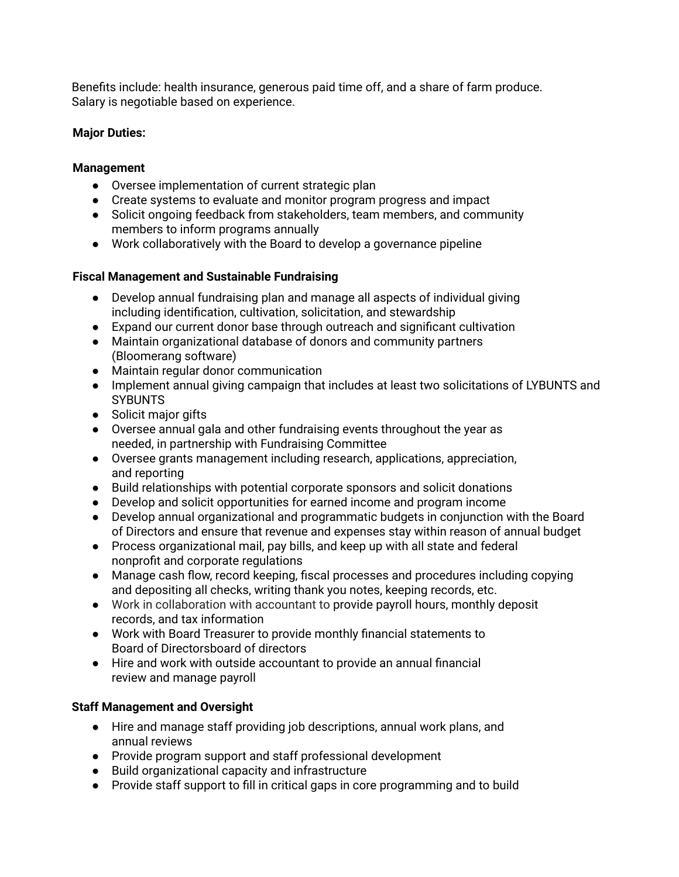Benefits include: health insurance, generous paid time off, and a share of farm produce. Salary is negotiable based on experience.

### **Major Duties:**

### **Management**

- Oversee implementation of current strategic plan
- Create systems to evaluate and monitor program progress and impact
- Solicit ongoing feedback from stakeholders, team members, and community members to inform programs annually
- Work collaboratively with the Board to develop a governance pipeline

# **Fiscal Management and Sustainable Fundraising**

- Develop annual fundraising plan and manage all aspects of individual giving including identification, cultivation, solicitation, and stewardship
- Expand our current donor base through outreach and significant cultivation
- Maintain organizational database of donors and community partners (Bloomerang software)
- Maintain regular donor communication
- Implement annual giving campaign that includes at least two solicitations of LYBUNTS and **SYBUNTS**
- Solicit major gifts
- Oversee annual gala and other fundraising events throughout the year as needed, in partnership with Fundraising Committee
- Oversee grants management including research, applications, appreciation, and reporting
- Build relationships with potential corporate sponsors and solicit donations
- Develop and solicit opportunities for earned income and program income
- Develop annual organizational and programmatic budgets in conjunction with the Board of Directors and ensure that revenue and expenses stay within reason of annual budget
- Process organizational mail, pay bills, and keep up with all state and federal nonprofit and corporate regulations
- Manage cash flow, record keeping, fiscal processes and procedures including copying and depositing all checks, writing thank you notes, keeping records, etc.
- Work in collaboration with accountant to provide payroll hours, monthly deposit records, and tax information
- Work with Board Treasurer to provide monthly financial statements to Board of Directorsboard of directors
- Hire and work with outside accountant to provide an annual financial review and manage payroll

# **Staff Management and Oversight**

- Hire and manage staff providing job descriptions, annual work plans, and annual reviews
- Provide program support and staff professional development
- Build organizational capacity and infrastructure
- Provide staff support to fill in critical gaps in core programming and to build